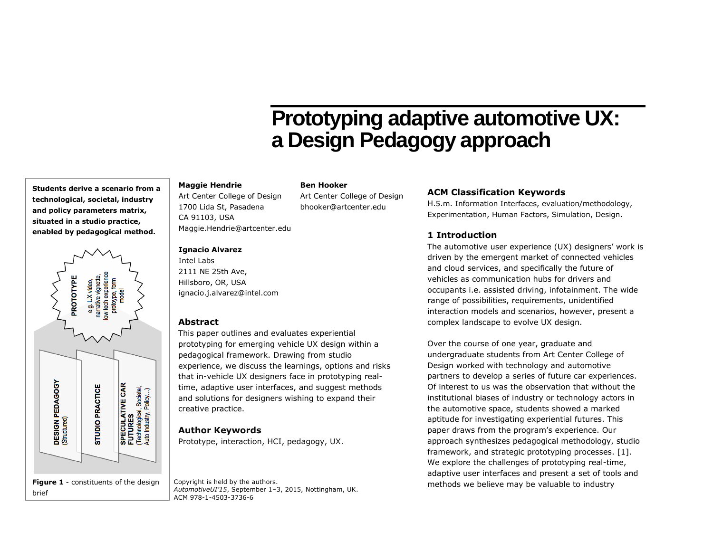# **Prototyping adaptive automotive UX: a Design Pedagogy approach**

## **Maggie Hendrie**

Art Center College of Design 1700 Lida St, Pasadena CA 91103, USA Maggie.Hendrie@artcenter.edu Art Center College of Design bhooker@artcenter.edu

#### **Ignacio Alvarez**

Intel Labs 2111 NE 25th Ave, Hillsboro, OR, USA ignacio.j.alvarez@intel.com

## **Abstract**

This paper outlines and evaluates experiential prototyping for emerging vehicle UX design within a pedagogical framework. Drawing from studio experience, we discuss the learnings, options and risks that in-vehicle UX designers face in prototyping realtime, adaptive user interfaces, and suggest methods and solutions for designers wishing to expand their creative practice.

**Ben Hooker**

## **Author Keywords**

Prototype, interaction, HCI, pedagogy, UX.

*AutomotiveUI'15*, September 1–3, 2015, Nottingham, UK. ACM 978-1-4503-3736-6

# **ACM Classification Keywords**

H.5.m. Information Interfaces, evaluation/methodology, Experimentation, Human Factors, Simulation, Design.

# **1 Introduction**

The automotive user experience (UX) designers' work is driven by the emergent market of connected vehicles and cloud services, and specifically the future of vehicles as communication hubs for drivers and occupants i.e. assisted driving, infotainment. The wide range of possibilities, requirements, unidentified interaction models and scenarios, however, present a complex landscape to evolve UX design.

Over the course of one year, graduate and undergraduate students from Art Center College of Design worked with technology and automotive partners to develop a series of future car experiences. Of interest to us was the observation that without the institutional biases of industry or technology actors in the automotive space, students showed a marked aptitude for investigating experiential futures. This paper draws from the program's experience. Our approach synthesizes pedagogical methodology, studio framework, and strategic prototyping processes. [1]. We explore the challenges of prototyping real-time, adaptive user interfaces and present a set of tools and Copyright is held by the authors.<br>  $\frac{1}{2}$  and  $\frac{1}{2}$  is the contract of the contract of the contract of the contract of the contract of the contract of the contract of the contract of the contract of the contract of

**Students derive a scenario from a technological, societal, industry and policy parameters matrix, situated in a studio practice, enabled by pedagogical method.**

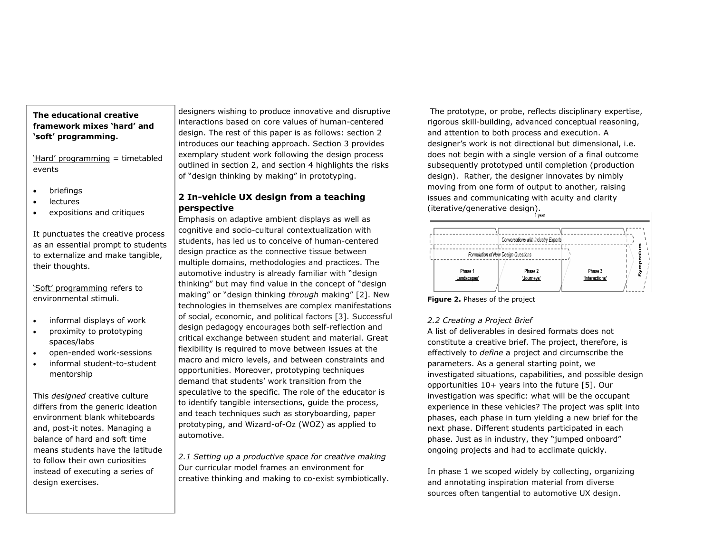## **The educational creative framework mixes 'hard' and 'soft' programming.**

'Hard' programming = timetabled events

- briefings
- lectures
- expositions and critiques

It punctuates the creative process as an essential prompt to students to externalize and make tangible, their thoughts.

'Soft' programming refers to environmental stimuli.

- informal displays of work
- proximity to prototyping spaces/labs
- open-ended work-sessions
- informal student-to-student mentorship

This *designed* creative culture differs from the generic ideation environment blank whiteboards and, post-it notes. Managing a balance of hard and soft time means students have the latitude to follow their own curiosities instead of executing a series of design exercises.

designers wishing to produce innovative and disruptive interactions based on core values of human-centered design. The rest of this paper is as follows: section 2 introduces our teaching approach. Section 3 provides exemplary student work following the design process outlined in section 2, and section 4 highlights the risks of "design thinking by making" in prototyping.

# **2 In-vehicle UX design from a teaching perspective**

Emphasis on adaptive ambient displays as well as cognitive and socio-cultural contextualization with students, has led us to conceive of human-centered design practice as the connective tissue between multiple domains, methodologies and practices. The automotive industry is already familiar with "design thinking" but may find value in the concept of "design making" or "design thinking *through* making" [2]. New technologies in themselves are complex manifestations of social, economic, and political factors [3]. Successful design pedagogy encourages both self-reflection and critical exchange between student and material. Great flexibility is required to move between issues at the macro and micro levels, and between constraints and opportunities. Moreover, prototyping techniques demand that students' work transition from the speculative to the specific. The role of the educator is to identify tangible intersections, guide the process, and teach techniques such as storyboarding, paper prototyping, and Wizard-of-Oz (WOZ) as applied to automotive.

*2.1 Setting up a productive space for creative making* Our curricular model frames an environment for creative thinking and making to co-exist symbiotically.

The prototype, or probe, reflects disciplinary expertise, rigorous skill-building, advanced conceptual reasoning, and attention to both process and execution. A designer's work is not directional but dimensional, i.e. does not begin with a single version of a final outcome subsequently prototyped until completion (production design). Rather, the designer innovates by nimbly moving from one form of output to another, raising issues and communicating with acuity and clarity (iterative/generative design).



**Figure 2.** Phases of the project

#### *2.2 Creating a Project Brief*

A list of deliverables in desired formats does not constitute a creative brief. The project, therefore, is effectively to *define* a project and circumscribe the parameters. As a general starting point, we investigated situations, capabilities, and possible design opportunities 10+ years into the future [5]. Our investigation was specific: what will be the occupant experience in these vehicles? The project was split into phases, each phase in turn yielding a new brief for the next phase. Different students participated in each phase. Just as in industry, they "jumped onboard" ongoing projects and had to acclimate quickly.

In phase 1 we scoped widely by collecting, organizing and annotating inspiration material from diverse sources often tangential to automotive UX design.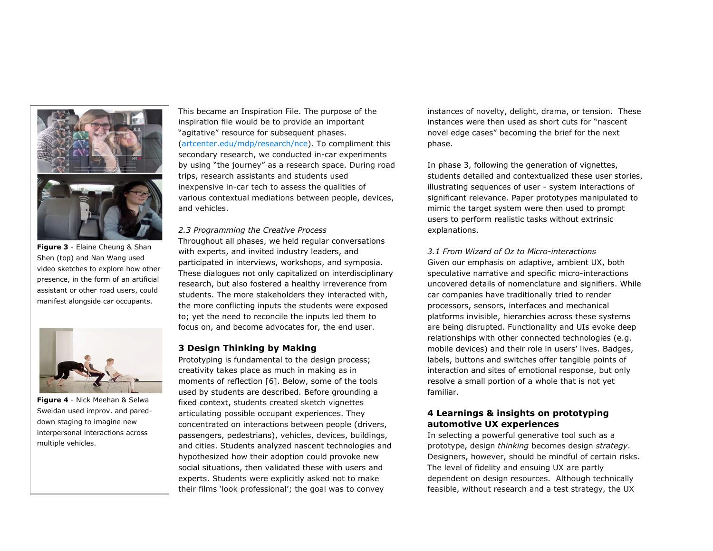

**Figure 3** - Elaine Cheung & Shan Shen (top) and Nan Wang used video sketches to explore how other presence, in the form of an artificial assistant or other road users, could manifest alongside car occupants.



**Figure 4** - Nick Meehan & Selwa Sweidan used improv. and pareddown staging to imagine new interpersonal interactions across multiple vehicles.

This became an Inspiration File. The purpose of the inspiration file would be to provide an important "agitative" resource for subsequent phases. [\(artcenter.edu/mdp/research/nce\)](file:///C:/Users/ignacioj/AppData/Local/Microsoft/Windows/INetCache/Content.Outlook/T5U0O17K/artcenter.edu/mdp/research/nce). To compliment this secondary research, we conducted in-car experiments by using "the journey" as a research space. During road trips, research assistants and students used inexpensive in-car tech to assess the qualities of various contextual mediations between people, devices, and vehicles.

*2.3 Programming the Creative Process* Throughout all phases, we held regular conversations with experts, and invited industry leaders, and participated in interviews, workshops, and symposia. These dialogues not only capitalized on interdisciplinary research, but also fostered a healthy irreverence from students. The more stakeholders they interacted with, the more conflicting inputs the students were exposed to; yet the need to reconcile the inputs led them to focus on, and become advocates for, the end user.

#### **3 Design Thinking by Making**

Prototyping is fundamental to the design process; creativity takes place as much in making as in moments of reflection [6]. Below, some of the tools used by students are described. Before grounding a fixed context, students created sketch vignettes articulating possible occupant experiences. They concentrated on interactions between people (drivers, passengers, pedestrians), vehicles, devices, buildings, and cities. Students analyzed nascent technologies and hypothesized how their adoption could provoke new social situations, then validated these with users and experts. Students were explicitly asked not to make their films 'look professional'; the goal was to convey

instances of novelty, delight, drama, or tension. These instances were then used as short cuts for "nascent novel edge cases" becoming the brief for the next phase.

In phase 3, following the generation of vignettes, students detailed and contextualized these user stories, illustrating sequences of user - system interactions of significant relevance. Paper prototypes manipulated to mimic the target system were then used to prompt users to perform realistic tasks without extrinsic explanations.

*3.1 From Wizard of Oz to Micro-interactions* Given our emphasis on adaptive, ambient UX, both speculative narrative and specific micro-interactions uncovered details of nomenclature and signifiers. While car companies have traditionally tried to render processors, sensors, interfaces and mechanical platforms invisible, hierarchies across these systems are being disrupted. Functionality and UIs evoke deep relationships with other connected technologies (e.g. mobile devices) and their role in users' lives. Badges, labels, buttons and switches offer tangible points of interaction and sites of emotional response, but only resolve a small portion of a whole that is not yet familiar.

### **4 Learnings & insights on prototyping automotive UX experiences**

In selecting a powerful generative tool such as a prototype, design *thinking* becomes design *strategy*. Designers, however, should be mindful of certain risks. The level of fidelity and ensuing UX are partly dependent on design resources. Although technically feasible, without research and a test strategy, the UX